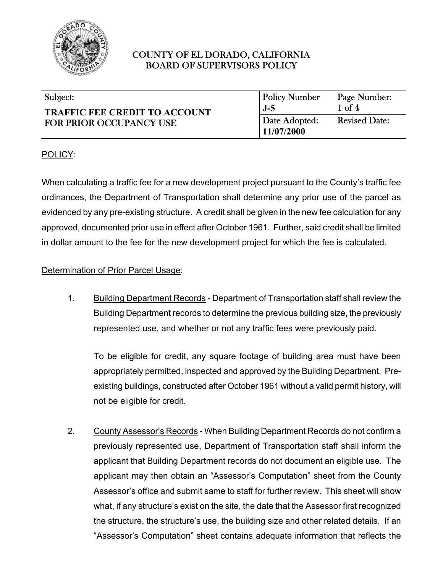

| Subject:                                                               | <b>Policy Number</b>        | Page Number:         |
|------------------------------------------------------------------------|-----------------------------|----------------------|
| <b>TRAFFIC FEE CREDIT TO ACCOUNT</b><br><b>FOR PRIOR OCCUPANCY USE</b> | $J-5$                       | $1 \text{ of } 4$    |
|                                                                        | Date Adopted:<br>11/07/2000 | <b>Revised Date:</b> |

### POLICY:

When calculating a traffic fee for a new development project pursuant to the County's traffic fee ordinances, the Department of Transportation shall determine any prior use of the parcel as evidenced by any pre-existing structure. A credit shall be given in the new fee calculation for any approved, documented prior use in effect after October 1961. Further, said credit shall be limited in dollar amount to the fee for the new development project for which the fee is calculated.

### Determination of Prior Parcel Usage:

1. Building Department Records - Department of Transportation staff shall review the Building Department records to determine the previous building size, the previously represented use, and whether or not any traffic fees were previously paid.

To be eligible for credit, any square footage of building area must have been appropriately permitted, inspected and approved by the Building Department. Preexisting buildings, constructed after October 1961 without a valid permit history, will not be eligible for credit.

2. County Assessor's Records - When Building Department Records do not confirm a previously represented use, Department of Transportation staff shall inform the applicant that Building Department records do not document an eligible use. The applicant may then obtain an "Assessor's Computation" sheet from the County Assessor's office and submit same to staff for further review. This sheet will show what, if any structure's exist on the site, the date that the Assessor first recognized the structure, the structure's use, the building size and other related details. If an "Assessor's Computation" sheet contains adequate information that reflects the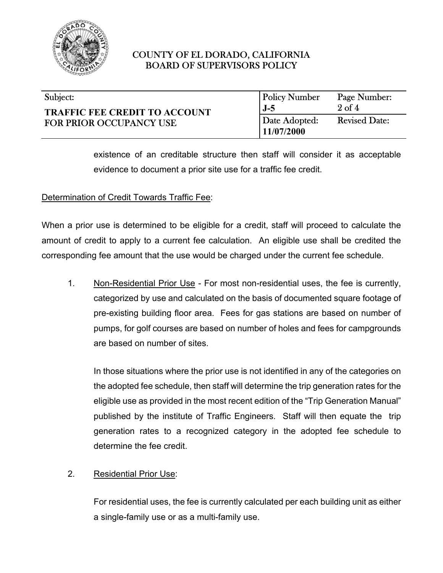

| Subject:                                                               | <b>Policy Number</b>        | Page Number:         |
|------------------------------------------------------------------------|-----------------------------|----------------------|
| <b>TRAFFIC FEE CREDIT TO ACCOUNT</b><br><b>FOR PRIOR OCCUPANCY USE</b> | $J-5$                       | $2$ of $4$           |
|                                                                        | Date Adopted:<br>11/07/2000 | <b>Revised Date:</b> |

existence of an creditable structure then staff will consider it as acceptable evidence to document a prior site use for a traffic fee credit.

### Determination of Credit Towards Traffic Fee:

When a prior use is determined to be eligible for a credit, staff will proceed to calculate the amount of credit to apply to a current fee calculation. An eligible use shall be credited the corresponding fee amount that the use would be charged under the current fee schedule.

1. Non-Residential Prior Use - For most non-residential uses, the fee is currently, categorized by use and calculated on the basis of documented square footage of pre-existing building floor area. Fees for gas stations are based on number of pumps, for golf courses are based on number of holes and fees for campgrounds are based on number of sites.

In those situations where the prior use is not identified in any of the categories on the adopted fee schedule, then staff will determine the trip generation rates for the eligible use as provided in the most recent edition of the "Trip Generation Manual" published by the institute of Traffic Engineers. Staff will then equate the trip generation rates to a recognized category in the adopted fee schedule to determine the fee credit.

### 2. Residential Prior Use:

For residential uses, the fee is currently calculated per each building unit as either a single-family use or as a multi-family use.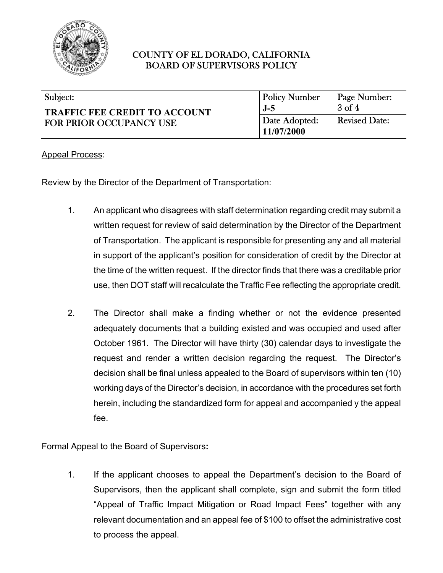

| Subject:                                                               | <b>Policy Number</b>        | Page Number:         |
|------------------------------------------------------------------------|-----------------------------|----------------------|
| <b>TRAFFIC FEE CREDIT TO ACCOUNT</b><br><b>FOR PRIOR OCCUPANCY USE</b> | $J-5$                       | $3$ of $4$           |
|                                                                        | Date Adopted:<br>11/07/2000 | <b>Revised Date:</b> |

#### Appeal Process:

Review by the Director of the Department of Transportation:

- 1. An applicant who disagrees with staff determination regarding credit may submit a written request for review of said determination by the Director of the Department of Transportation. The applicant is responsible for presenting any and all material in support of the applicant's position for consideration of credit by the Director at the time of the written request. If the director finds that there was a creditable prior use, then DOT staff will recalculate the Traffic Fee reflecting the appropriate credit.
- 2. The Director shall make a finding whether or not the evidence presented adequately documents that a building existed and was occupied and used after October 1961. The Director will have thirty (30) calendar days to investigate the request and render a written decision regarding the request. The Director's decision shall be final unless appealed to the Board of supervisors within ten (10) working days of the Director's decision, in accordance with the procedures set forth herein, including the standardized form for appeal and accompanied y the appeal fee.

Formal Appeal to the Board of Supervisors**:** 

1. If the applicant chooses to appeal the Department's decision to the Board of Supervisors, then the applicant shall complete, sign and submit the form titled "Appeal of Traffic Impact Mitigation or Road Impact Fees" together with any relevant documentation and an appeal fee of \$100 to offset the administrative cost to process the appeal.